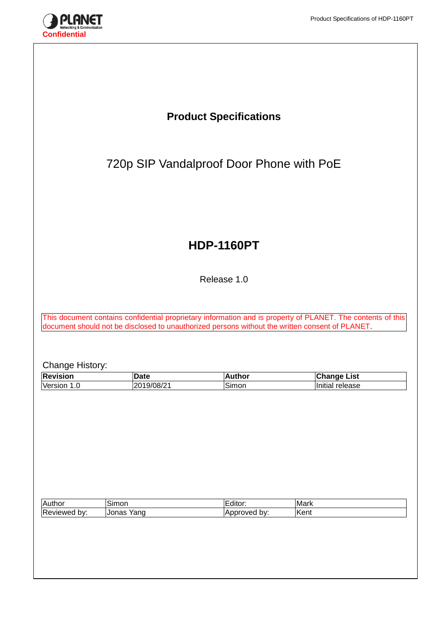

# **Product Specifications** 720p SIP Vandalproof Door Phone with PoE **HDP-1160PT** Release 1.0 This document contains confidential proprietary information and is property of PLANET. The contents of this document should not be disclosed to unauthorized persons without the written consent of PLANET. Change History:<br>Revision **Revision Date Author Change List** Version 1.0 2019/08/21 Simon Initial release Author Simon Editor: Mark Reviewed by: Jonas Yang Approved by: Kent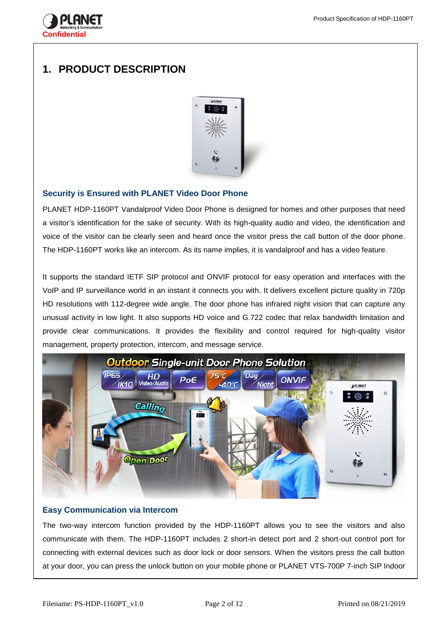

# **1. PRODUCT DESCRIPTION**



## **Security is Ensured with PLANET Video Door Phone**

PLANET HDP-1160PT Vandalproof Video Door Phone is designed for homes and other purposes that need a visitor's identification for the sake of security. With its high-quality audio and video, the identification and voice of the visitor can be clearly seen and heard once the visitor press the call button of the door phone. The HDP-1160PT works like an intercom. As its name implies, it is vandalproof and has a video feature.

It supports the standard IETF SIP protocol and ONVIF protocol for easy operation and interfaces with the VoIP and IP surveillance world in an instant it connects you with. It delivers excellent picture quality in 720p HD resolutions with 112-degree wide angle. The door phone has infrared night vision that can capture any unusual activity in low light. It also supports HD voice and G.722 codec that relax bandwidth limitation and provide clear communications. It provides the flexibility and control required for high-quality visitor management, property protection, intercom, and message service.



#### **Easy Communication via Intercom**

The two-way intercom function provided by the HDP-1160PT allows you to see the visitors and also communicate with them. The HDP-1160PT includes 2 short-in detect port and 2 short-out control port for connecting with external devices such as door lock or door sensors. When the visitors press the call button at your door, you can press the unlock button on your mobile phone or PLANET VTS-700P 7-inch SIP Indoor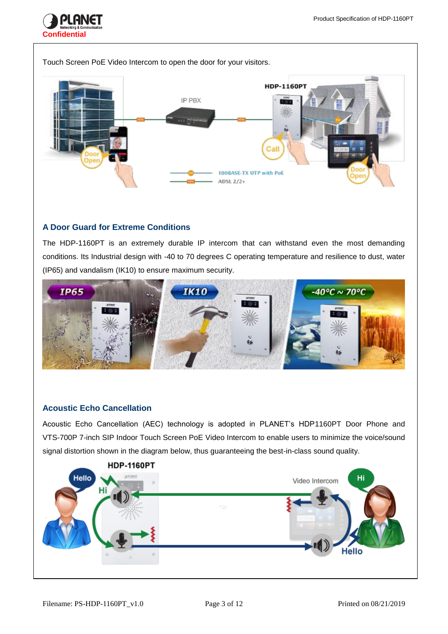



## **A Door Guard for Extreme Conditions**

The HDP-1160PT is an extremely durable IP intercom that can withstand even the most demanding conditions. Its Industrial design with -40 to 70 degrees C operating temperature and resilience to dust, water (IP65) and vandalism (IK10) to ensure maximum security.



## **Acoustic Echo Cancellation**

Acoustic Echo Cancellation (AEC) technology is adopted in PLANET's HDP1160PT Door Phone and VTS-700P 7-inch SIP Indoor Touch Screen PoE Video Intercom to enable users to minimize the voice/sound signal distortion shown in the diagram below, thus guaranteeing the best-in-class sound quality.

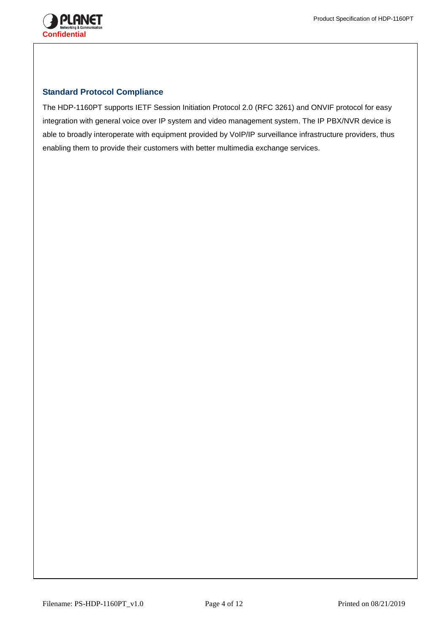

#### **Standard Protocol Compliance**

The HDP-1160PT supports IETF Session Initiation Protocol 2.0 (RFC 3261) and ONVIF protocol for easy integration with general voice over IP system and video management system. The IP PBX/NVR device is able to broadly interoperate with equipment provided by VoIP/IP surveillance infrastructure providers, thus enabling them to provide their customers with better multimedia exchange services.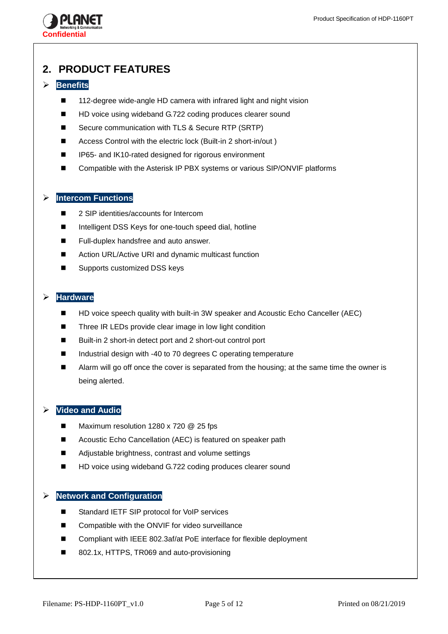

# **2. PRODUCT FEATURES**

## **Benefits**

- 112-degree wide-angle HD camera with infrared light and night vision
- HD voice using wideband G.722 coding produces clearer sound
- Secure communication with TLS & Secure RTP (SRTP)
- Access Control with the electric lock (Built-in 2 short-in/out )
- IP65- and IK10-rated designed for rigorous environment
- Compatible with the Asterisk IP PBX systems or various SIP/ONVIF platforms

## **Intercom Functions**

- 2 SIP identities/accounts for Intercom
- Intelligent DSS Keys for one-touch speed dial, hotline
- Full-duplex handsfree and auto answer.
- Action URL/Active URI and dynamic multicast function
- Supports customized DSS keys

## **Hardware**

- HD voice speech quality with built-in 3W speaker and Acoustic Echo Canceller (AEC)
- Three IR LEDs provide clear image in low light condition
- Built-in 2 short-in detect port and 2 short-out control port
- Industrial design with -40 to 70 degrees C operating temperature
- Alarm will go off once the cover is separated from the housing; at the same time the owner is being alerted.

## **Video and Audio**

- Maximum resolution 1280 x 720 @ 25 fps
- Acoustic Echo Cancellation (AEC) is featured on speaker path
- Adjustable brightness, contrast and volume settings
- HD voice using wideband G.722 coding produces clearer sound

#### **Network and Configuration**

- Standard IETF SIP protocol for VoIP services
- Compatible with the ONVIF for video surveillance
- Compliant with IEEE 802.3af/at PoE interface for flexible deployment
- 802.1x, HTTPS, TR069 and auto-provisioning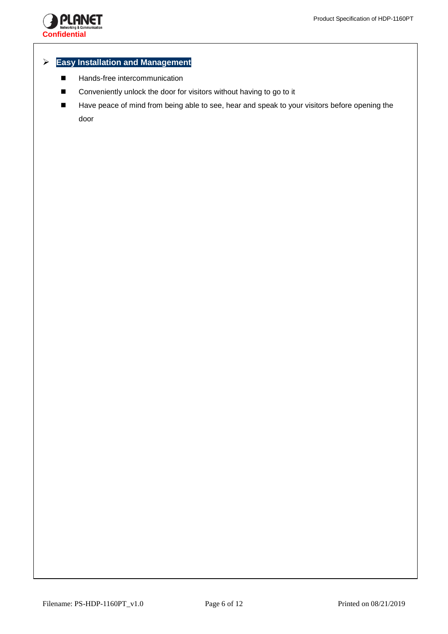

#### **Easy Installation and Management**

- **Hands-free intercommunication**
- Conveniently unlock the door for visitors without having to go to it
- Have peace of mind from being able to see, hear and speak to your visitors before opening the door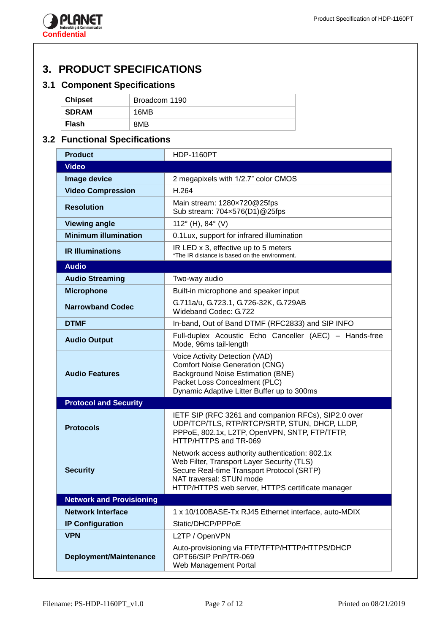

# **3. PRODUCT SPECIFICATIONS**

## **3.1 Component Specifications**

| <b>Chipset</b> | Broadcom 1190 |
|----------------|---------------|
| <b>SDRAM</b>   | 16MB          |
| Flash          | 8MB           |

# **3.2 Functional Specifications**

| <b>Product</b>                  | <b>HDP-1160PT</b>                                                                                                                                                                                                           |
|---------------------------------|-----------------------------------------------------------------------------------------------------------------------------------------------------------------------------------------------------------------------------|
| <b>Video</b>                    |                                                                                                                                                                                                                             |
| Image device                    | 2 megapixels with 1/2.7" color CMOS                                                                                                                                                                                         |
| <b>Video Compression</b>        | H.264                                                                                                                                                                                                                       |
| <b>Resolution</b>               | Main stream: 1280x720@25fps<br>Sub stream: 704×576(D1)@25fps                                                                                                                                                                |
| <b>Viewing angle</b>            | 112 $^{\circ}$ (H), 84 $^{\circ}$ (V)                                                                                                                                                                                       |
| <b>Minimum illumination</b>     | 0.1Lux, support for infrared illumination                                                                                                                                                                                   |
| <b>IR Illuminations</b>         | IR LED x 3, effective up to 5 meters<br>*The IR distance is based on the environment.                                                                                                                                       |
| <b>Audio</b>                    |                                                                                                                                                                                                                             |
| <b>Audio Streaming</b>          | Two-way audio                                                                                                                                                                                                               |
| <b>Microphone</b>               | Built-in microphone and speaker input                                                                                                                                                                                       |
| <b>Narrowband Codec</b>         | G.711a/u, G.723.1, G.726-32K, G.729AB<br>Wideband Codec: G.722                                                                                                                                                              |
| <b>DTMF</b>                     | In-band, Out of Band DTMF (RFC2833) and SIP INFO                                                                                                                                                                            |
| <b>Audio Output</b>             | Full-duplex Acoustic Echo Canceller (AEC) - Hands-free<br>Mode, 96ms tail-length                                                                                                                                            |
| <b>Audio Features</b>           | Voice Activity Detection (VAD)<br><b>Comfort Noise Generation (CNG)</b><br><b>Background Noise Estimation (BNE)</b><br>Packet Loss Concealment (PLC)<br>Dynamic Adaptive Litter Buffer up to 300ms                          |
| <b>Protocol and Security</b>    |                                                                                                                                                                                                                             |
| <b>Protocols</b>                | IETF SIP (RFC 3261 and companion RFCs), SIP2.0 over<br>UDP/TCP/TLS, RTP/RTCP/SRTP, STUN, DHCP, LLDP,<br>PPPoE, 802.1x, L2TP, OpenVPN, SNTP, FTP/TFTP,<br>HTTP/HTTPS and TR-069                                              |
| <b>Security</b>                 | Network access authority authentication: 802.1x<br>Web Filter, Transport Layer Security (TLS)<br>Secure Real-time Transport Protocol (SRTP)<br>NAT traversal: STUN mode<br>HTTP/HTTPS web server, HTTPS certificate manager |
| <b>Network and Provisioning</b> |                                                                                                                                                                                                                             |
| <b>Network Interface</b>        | 1 x 10/100BASE-Tx RJ45 Ethernet interface, auto-MDIX                                                                                                                                                                        |
| <b>IP Configuration</b>         | Static/DHCP/PPPoE                                                                                                                                                                                                           |
| <b>VPN</b>                      | L2TP / OpenVPN                                                                                                                                                                                                              |
| Deployment/Maintenance          | Auto-provisioning via FTP/TFTP/HTTP/HTTPS/DHCP<br>OPT66/SIP PnP/TR-069<br>Web Management Portal                                                                                                                             |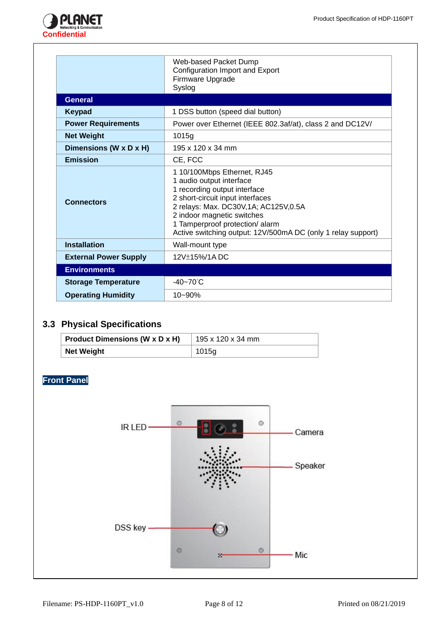

|                              | Web-based Packet Dump<br>Configuration Import and Export<br>Firmware Upgrade<br>Syslog                                                                                                                                                                                                                 |
|------------------------------|--------------------------------------------------------------------------------------------------------------------------------------------------------------------------------------------------------------------------------------------------------------------------------------------------------|
| <b>General</b>               |                                                                                                                                                                                                                                                                                                        |
| <b>Keypad</b>                | 1 DSS button (speed dial button)                                                                                                                                                                                                                                                                       |
| <b>Power Requirements</b>    | Power over Ethernet (IEEE 802.3af/at), class 2 and DC12V/                                                                                                                                                                                                                                              |
| <b>Net Weight</b>            | 1015g                                                                                                                                                                                                                                                                                                  |
| Dimensions (W x D x H)       | 195 x 120 x 34 mm                                                                                                                                                                                                                                                                                      |
| <b>Emission</b>              | CE, FCC                                                                                                                                                                                                                                                                                                |
| <b>Connectors</b>            | 1 10/100Mbps Ethernet, RJ45<br>1 audio output interface<br>1 recording output interface<br>2 short-circuit input interfaces<br>2 relays: Max. DC30V, 1A; AC125V, 0.5A<br>2 indoor magnetic switches<br>1 Tamperproof protection/ alarm<br>Active switching output: 12V/500mA DC (only 1 relay support) |
| <b>Installation</b>          | Wall-mount type                                                                                                                                                                                                                                                                                        |
| <b>External Power Supply</b> | 12V±15%/1ADC                                                                                                                                                                                                                                                                                           |
| <b>Environments</b>          |                                                                                                                                                                                                                                                                                                        |
| <b>Storage Temperature</b>   | $-40 - 70^{\circ}$ C                                                                                                                                                                                                                                                                                   |
| <b>Operating Humidity</b>    | $10 - 90%$                                                                                                                                                                                                                                                                                             |

# **3.3 Physical Specifications**

| <b>Product Dimensions (W x D x H)</b> | 195 x 120 x 34 mm |
|---------------------------------------|-------------------|
| <b>Net Weight</b>                     | 1015g             |

**Front Panel**

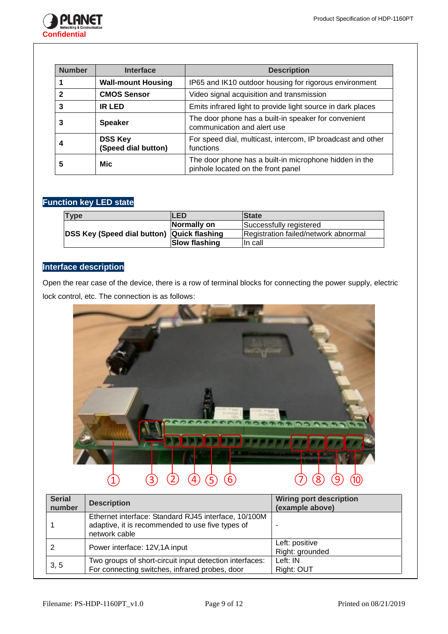

| <b>Number</b> | <b>Interface</b>                      | <b>Description</b>                                                                           |
|---------------|---------------------------------------|----------------------------------------------------------------------------------------------|
|               | <b>Wall-mount Housing</b>             | IP65 and IK10 outdoor housing for rigorous environment                                       |
| 2             | <b>CMOS Sensor</b>                    | Video signal acquisition and transmission                                                    |
| 3             | <b>IR LED</b>                         | Emits infrared light to provide light source in dark places                                  |
| з             | <b>Speaker</b>                        | The door phone has a built-in speaker for convenient<br>communication and alert use          |
|               | <b>DSS Key</b><br>(Speed dial button) | For speed dial, multicast, intercom, IP broadcast and other<br>functions                     |
| 5             | <b>Mic</b>                            | The door phone has a built-in microphone hidden in the<br>pinhole located on the front panel |

## **Function key LED state**

| Type                                              | <b>ILED</b>          | <b>State</b>                         |
|---------------------------------------------------|----------------------|--------------------------------------|
| <b>DSS Key (Speed dial button) Quick flashing</b> | Normally on          | Successfully registered              |
|                                                   |                      | Registration failed/network abnormal |
|                                                   | <b>Slow flashing</b> | In call                              |

## **Interface description**

Open the rear case of the device, there is a row of terminal blocks for connecting the power supply, electric lock control, etc. The connection is as follows:



| <b>Serial</b><br>number | <b>Description</b>                                                                                                        | <b>Wiring port description</b><br>(example above) |
|-------------------------|---------------------------------------------------------------------------------------------------------------------------|---------------------------------------------------|
|                         | Ethernet interface: Standard RJ45 interface, 10/100M<br>adaptive, it is recommended to use five types of<br>network cable |                                                   |
|                         | Power interface: 12V,1A input                                                                                             | Left: positive<br>Right: grounded                 |
| 3, 5                    | Two groups of short-circuit input detection interfaces:<br>For connecting switches, infrared probes, door                 | Left: IN<br>Right: OUT                            |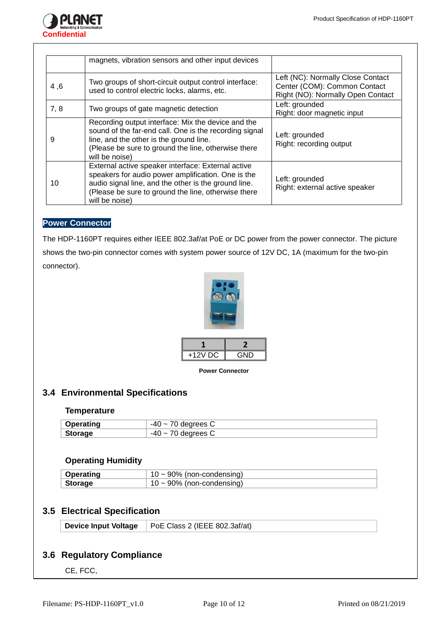

|      | magnets, vibration sensors and other input devices                                                                                                                                                                                        |                                                                                                        |
|------|-------------------------------------------------------------------------------------------------------------------------------------------------------------------------------------------------------------------------------------------|--------------------------------------------------------------------------------------------------------|
| 4,6  | Two groups of short-circuit output control interface:<br>used to control electric locks, alarms, etc.                                                                                                                                     | Left (NC): Normally Close Contact<br>Center (COM): Common Contact<br>Right (NO): Normally Open Contact |
| 7, 8 | Two groups of gate magnetic detection                                                                                                                                                                                                     | Left: grounded<br>Right: door magnetic input                                                           |
| 9    | Recording output interface: Mix the device and the<br>sound of the far-end call. One is the recording signal<br>line, and the other is the ground line.<br>(Please be sure to ground the line, otherwise there<br>will be noise)          | Left: grounded<br>Right: recording output                                                              |
| 10   | External active speaker interface: External active<br>speakers for audio power amplification. One is the<br>audio signal line, and the other is the ground line.<br>(Please be sure to ground the line, otherwise there<br>will be noise) | Left: grounded<br>Right: external active speaker                                                       |

## **Power Connector**

The HDP-1160PT requires either IEEE 802.3af/at PoE or DC power from the power connector. The picture shows the two-pin connector comes with system power source of 12V DC, 1A (maximum for the two-pin connector).



| GND |
|-----|
|     |

**Power Connector**

## **3.4 Environmental Specifications**

#### **Temperature**

| <b>Operating</b> | $-40 -$<br>70 degrees C |
|------------------|-------------------------|
| <b>Storage</b>   | $-40 -$<br>70 degrees C |

#### **Operating Humidity**

| Operating      | $10 \sim 90\%$ (non-condensing) |
|----------------|---------------------------------|
| <b>Storage</b> | $10 \sim 90\%$ (non-condensing) |

## **3.5 Electrical Specification**

|  | Device Input Voltage   PoE Class 2 (IEEE 802.3af/at) |  |
|--|------------------------------------------------------|--|
|--|------------------------------------------------------|--|

## **3.6 Regulatory Compliance**

CE, FCC,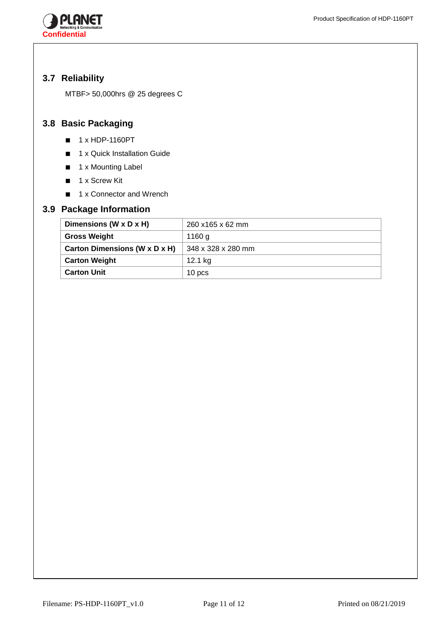

## **3.7 Reliability**

MTBF> 50,000hrs @ 25 degrees C

# **3.8 Basic Packaging**

- 1 x HDP-1160PT
- 1 x Quick Installation Guide
- 1 x Mounting Label
- 1 x Screw Kit
- 1 x Connector and Wrench

## **3.9 Package Information**

| Dimensions (W x D x H)        | 260 x165 x 62 mm   |
|-------------------------------|--------------------|
| <b>Gross Weight</b>           | 1160 g             |
| Carton Dimensions (W x D x H) | 348 x 328 x 280 mm |
| <b>Carton Weight</b>          | 12.1 kg            |
| <b>Carton Unit</b>            | 10 pcs             |